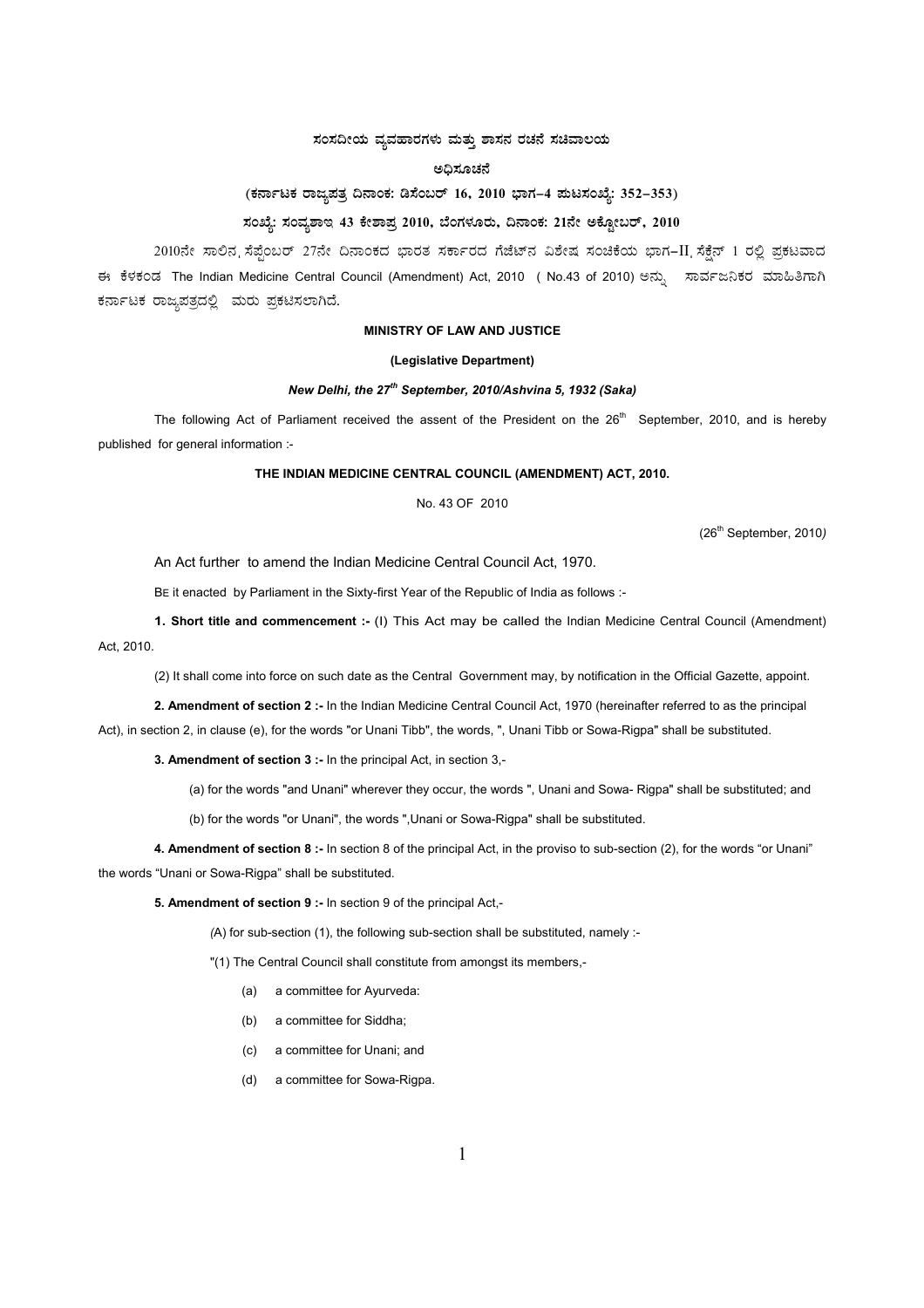## $\overline{a}$ ಸಂಸದೀಯ ವ್ಯವಹಾರಗಳು ಮತ್ತು ಶಾಸನ ರಚನೆ ಸಚಿವಾಲಯ

#### **C¢ü¸ÀÆZÀ£É**

# (ಕರ್ನಾಟಕ ರಾಜ್ಯಪತ್ರ ದಿನಾಂಕ: ಡಿಸೆಂಬರ್ 16, 2010 ಭಾಗ–4 **ಮಟಸಂಖ್ಯೆ: 352–353**)

# ಸಂಖ್ಯೆ: ಸಂವ್ಯಶಾಇ 43 ಕೇಶಾಪ್ರ 2010, ಬೆಂಗಳೂರು, ದಿನಾಂಕ: 21ನೇ ಅಕ್ಟೋಬರ್, 2010

2010ನೇ ಸಾಲಿನ ನೆಪ್ಪೆಂಬರ್ 27ನೇ ದಿನಾಂಕದ ಭಾರತ ಸರ್ಕಾರದ ಗೆಜೆಟ್ನ ವಿಶೇಷ ಸಂಚಿಕೆಯ ಭಾಗ–II ಸೆಕ್ಷೆನ್ 1 ರಲ್ಲಿ ಪ್ರಕಟವಾದ ಈ ಕೆಳಕಂಡ The Indian Medicine Central Council (Amendment) Act, 2010 ( No.43 of 2010) ಅನ್ಸು ನಾರ್ವಜನಿಕರ ಮಾಹಿತಿಗಾಗಿ ಕರ್ನಾಟಕ ರಾಜ್ಯಪತ್ರದಲ್ಲಿ ಮರು ಪ್ರಕಟಿಸಲಾಗಿದೆ.

### **MINISTRY OF LAW AND JUSTICE**

#### **(Legislative Department)**

### *New Delhi, the 27th September, 2010/Ashvina 5, 1932 (Saka)*

The following Act of Parliament received the assent of the President on the 26<sup>th</sup> September, 2010, and is hereby published for general information :-

#### **THE INDIAN MEDICINE CENTRAL COUNCIL (AMENDMENT) ACT, 2010.**

No. 43 OF 2010

(26th September, 2010*)*

An Act further to amend the Indian Medicine Central Council Act, 1970.

BE it enacted by Parliament in the Sixty-first Year of the Republic of India as follows :-

**1. Short title and commencement :-** (I) This Act may be called the Indian Medicine Central Council (Amendment) Act, 2010.

(2) It shall come into force on such date as the Central Government may, by notification in the Official Gazette, appoint.

**2. Amendment of section 2 :-** In the Indian Medicine Central Council Act, 1970 (hereinafter referred to as the principal

Act), in section 2, in clause (e), for the words "or Unani Tibb", the words, ", Unani Tibb or Sowa-Rigpa" shall be substituted.

**3. Amendment of section 3 :-** In the principal Act, in section 3,-

(a) for the words "and Unani" wherever they occur, the words ", Unani and Sowa- Rigpa" shall be substituted; and

(b) for the words "or Unani", the words ",Unani or Sowa-Rigpa" shall be substituted.

**4. Amendment of section 8 :-** In section 8 of the principal Act, in the proviso to sub-section (2), for the words "or Unani" the words "Unani or Sowa-Rigpa" shall be substituted.

**5. Amendment of section 9 :-** In section 9 of the principal Act,-

*(*A) for sub-section (1), the following sub-section shall be substituted, namely :-

"(1) The Central Council shall constitute from amongst its members,-

- (a) a committee for Ayurveda:
- (b) a committee for Siddha;
- (c) a committee for Unani; and
- (d) a committee for Sowa-Rigpa.